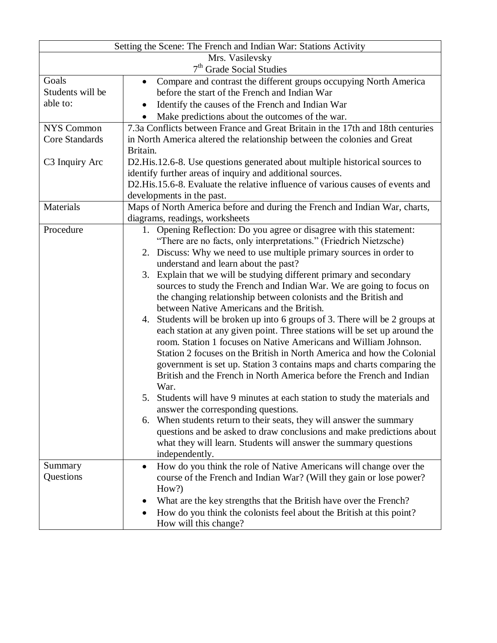| Setting the Scene: The French and Indian War: Stations Activity |                                                                                                                                               |  |  |  |  |  |  |
|-----------------------------------------------------------------|-----------------------------------------------------------------------------------------------------------------------------------------------|--|--|--|--|--|--|
| Mrs. Vasilevsky                                                 |                                                                                                                                               |  |  |  |  |  |  |
|                                                                 | 7 <sup>th</sup> Grade Social Studies                                                                                                          |  |  |  |  |  |  |
| Goals                                                           | Compare and contrast the different groups occupying North America<br>$\bullet$                                                                |  |  |  |  |  |  |
| Students will be                                                | before the start of the French and Indian War                                                                                                 |  |  |  |  |  |  |
| able to:                                                        | Identify the causes of the French and Indian War                                                                                              |  |  |  |  |  |  |
|                                                                 | Make predictions about the outcomes of the war.                                                                                               |  |  |  |  |  |  |
| NYS Common                                                      | 7.3a Conflicts between France and Great Britain in the 17th and 18th centuries                                                                |  |  |  |  |  |  |
| <b>Core Standards</b>                                           | in North America altered the relationship between the colonies and Great                                                                      |  |  |  |  |  |  |
|                                                                 | Britain.                                                                                                                                      |  |  |  |  |  |  |
| C3 Inquiry Arc                                                  | D2. His 12.6-8. Use questions generated about multiple historical sources to                                                                  |  |  |  |  |  |  |
|                                                                 | identify further areas of inquiry and additional sources.                                                                                     |  |  |  |  |  |  |
|                                                                 | D2. His. 15.6-8. Evaluate the relative influence of various causes of events and                                                              |  |  |  |  |  |  |
|                                                                 | developments in the past.                                                                                                                     |  |  |  |  |  |  |
| Materials                                                       | Maps of North America before and during the French and Indian War, charts,                                                                    |  |  |  |  |  |  |
|                                                                 | diagrams, readings, worksheets                                                                                                                |  |  |  |  |  |  |
| Procedure                                                       | Opening Reflection: Do you agree or disagree with this statement:<br>1.                                                                       |  |  |  |  |  |  |
|                                                                 | "There are no facts, only interpretations." (Friedrich Nietzsche)                                                                             |  |  |  |  |  |  |
|                                                                 | 2. Discuss: Why we need to use multiple primary sources in order to                                                                           |  |  |  |  |  |  |
|                                                                 | understand and learn about the past?                                                                                                          |  |  |  |  |  |  |
|                                                                 | 3. Explain that we will be studying different primary and secondary                                                                           |  |  |  |  |  |  |
|                                                                 | sources to study the French and Indian War. We are going to focus on                                                                          |  |  |  |  |  |  |
|                                                                 | the changing relationship between colonists and the British and                                                                               |  |  |  |  |  |  |
|                                                                 | between Native Americans and the British.                                                                                                     |  |  |  |  |  |  |
|                                                                 | 4. Students will be broken up into 6 groups of 3. There will be 2 groups at                                                                   |  |  |  |  |  |  |
|                                                                 | each station at any given point. Three stations will be set up around the<br>room. Station 1 focuses on Native Americans and William Johnson. |  |  |  |  |  |  |
|                                                                 | Station 2 focuses on the British in North America and how the Colonial                                                                        |  |  |  |  |  |  |
|                                                                 | government is set up. Station 3 contains maps and charts comparing the                                                                        |  |  |  |  |  |  |
|                                                                 | British and the French in North America before the French and Indian                                                                          |  |  |  |  |  |  |
|                                                                 | War.                                                                                                                                          |  |  |  |  |  |  |
|                                                                 | 5. Students will have 9 minutes at each station to study the materials and                                                                    |  |  |  |  |  |  |
|                                                                 | answer the corresponding questions.                                                                                                           |  |  |  |  |  |  |
|                                                                 | 6. When students return to their seats, they will answer the summary                                                                          |  |  |  |  |  |  |
|                                                                 | questions and be asked to draw conclusions and make predictions about                                                                         |  |  |  |  |  |  |
|                                                                 | what they will learn. Students will answer the summary questions                                                                              |  |  |  |  |  |  |
|                                                                 | independently.                                                                                                                                |  |  |  |  |  |  |
| Summary                                                         | How do you think the role of Native Americans will change over the<br>$\bullet$                                                               |  |  |  |  |  |  |
| Questions                                                       | course of the French and Indian War? (Will they gain or lose power?                                                                           |  |  |  |  |  |  |
|                                                                 | How?)                                                                                                                                         |  |  |  |  |  |  |
|                                                                 | What are the key strengths that the British have over the French?                                                                             |  |  |  |  |  |  |
|                                                                 | How do you think the colonists feel about the British at this point?                                                                          |  |  |  |  |  |  |
|                                                                 | How will this change?                                                                                                                         |  |  |  |  |  |  |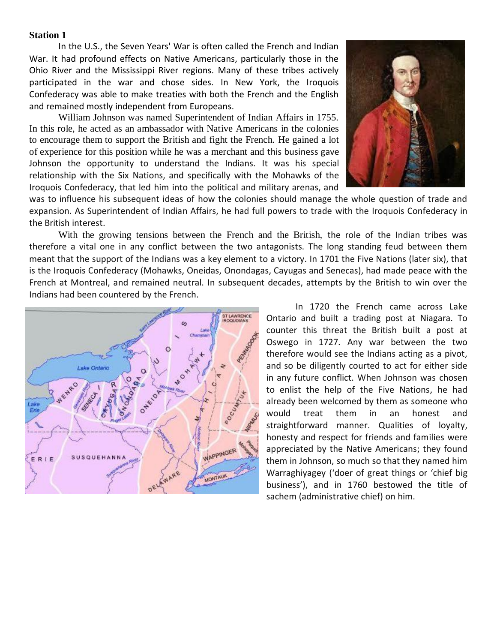In the U.S., the Seven Years' War is often called the French and Indian War. It had profound effects on Native Americans, particularly those in the Ohio River and the Mississippi River regions. Many of these tribes actively participated in the war and chose sides. In New York, the Iroquois Confederacy was able to make treaties with both the French and the English and remained mostly independent from Europeans.

William Johnson was named Superintendent of Indian Affairs in 1755. In this role, he acted as an ambassador with Native Americans in the colonies to encourage them to support the British and fight the French. He gained a lot of experience for this position while he was a merchant and this business gave Johnson the opportunity to understand the Indians. It was his special relationship with the Six Nations, and specifically with the Mohawks of the Iroquois Confederacy, that led him into the political and military arenas, and



was to influence his subsequent ideas of how the colonies should manage the whole question of trade and expansion. As Superintendent of Indian Affairs, he had full powers to trade with the Iroquois Confederacy in the British interest.

With the growing tensions between the French and the British, the role of the Indian tribes was therefore a vital one in any conflict between the two antagonists. The long standing feud between them meant that the support of the Indians was a key element to a victory. In 1701 the Five Nations (later six), that is the Iroquois Confederacy (Mohawks, Oneidas, Onondagas, Cayugas and Senecas), had made peace with the French at Montreal, and remained neutral. In subsequent decades, attempts by the British to win over the Indians had been countered by the French.



In 1720 the French came across Lake Ontario and built a trading post at Niagara. To counter this threat the British built a post at Oswego in 1727. Any war between the two therefore would see the Indians acting as a pivot, and so be diligently courted to act for either side in any future conflict. When Johnson was chosen to enlist the help of the Five Nations, he had already been welcomed by them as someone who would treat them in an honest and straightforward manner. Qualities of loyalty, honesty and respect for friends and families were appreciated by the Native Americans; they found them in Johnson, so much so that they named him Warraghiyagey ('doer of great things or 'chief big business'), and in 1760 bestowed the title of sachem (administrative chief) on him.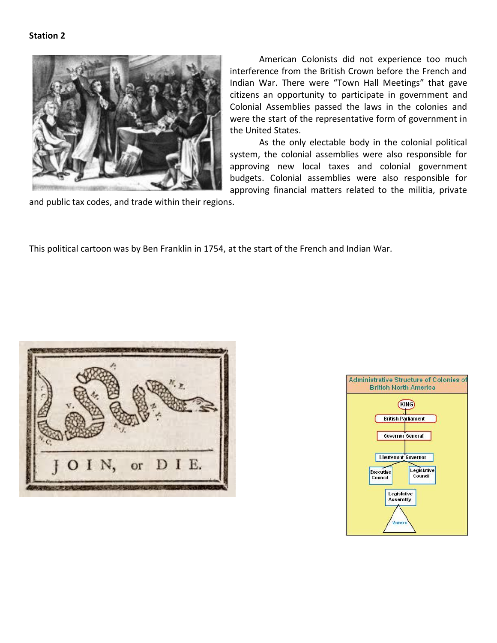

Indian War. There were "Town Hall Meetings" that gave citizens an opportunity to participate in government and Colonial Assemblies passed the laws in the colonies and were the start of the representative form of government in the United States. As the only electable body in the colonial political

system, the colonial assemblies were also responsible for approving new local taxes and colonial government budgets. Colonial assemblies were also responsible for approving financial matters related to the militia, private

American Colonists did not experience too much

interference from the British Crown before the French and

and public tax codes, and trade within their regions.

This political cartoon was by Ben Franklin in 1754, at the start of the French and Indian War.



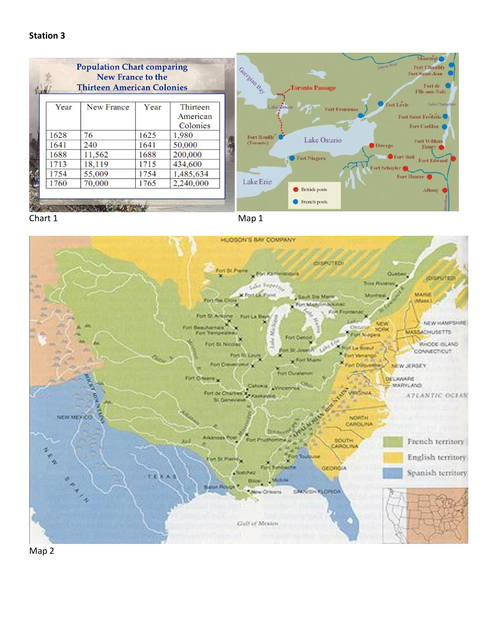| <b>MONTI</b> |      | <b>Population Chart comparing</b><br>New France to the<br><b>Thirteen American Colonies</b> |      |           | Georgian Bay<br><b>Toronto Passage</b> | Montreal <sup>®</sup><br><b>CREWS RIVER</b><br>Fort Chambly<br>Fort Saint-Jean<br>Fort de<br><b>Ple-aux-Noix</b> |
|--------------|------|---------------------------------------------------------------------------------------------|------|-----------|----------------------------------------|------------------------------------------------------------------------------------------------------------------|
|              | Year | New France                                                                                  | Year | Thirteen  | Lake Simcoe<br><b>Fort Frontenac</b>   | Fort Levis<br>Lake Champian                                                                                      |
|              |      |                                                                                             |      | American  |                                        | Fort Saint Frederic                                                                                              |
|              |      |                                                                                             |      | Colonies  |                                        | Fort Carillon                                                                                                    |
|              | 1628 | 76                                                                                          | 1625 | 1,980     | Fort Rouille<br>Lake Ontario           |                                                                                                                  |
|              | 1641 | 240                                                                                         | 1641 | 50,000    | (Toronto)                              | Fort William<br>O Oswego:<br>Henry <b>G</b>                                                                      |
|              | 1688 | 11,562                                                                                      | 1688 | 200,000   | Fort Niagara                           | Fort Bull                                                                                                        |
|              | 1713 | 18,119                                                                                      | 1715 | 434,600   |                                        | Fort Edward<br>Fort Schuyler                                                                                     |
|              | 1754 | 55,009                                                                                      | 1754 | 1,485,634 |                                        | Fort Hunter                                                                                                      |
|              | 1760 | 70,000                                                                                      | 1765 | 2,240,000 | Lake Erie                              |                                                                                                                  |
|              |      |                                                                                             |      |           | <b>British posts</b>                   | <b>Albany</b>                                                                                                    |
|              |      |                                                                                             |      |           | French posts                           |                                                                                                                  |





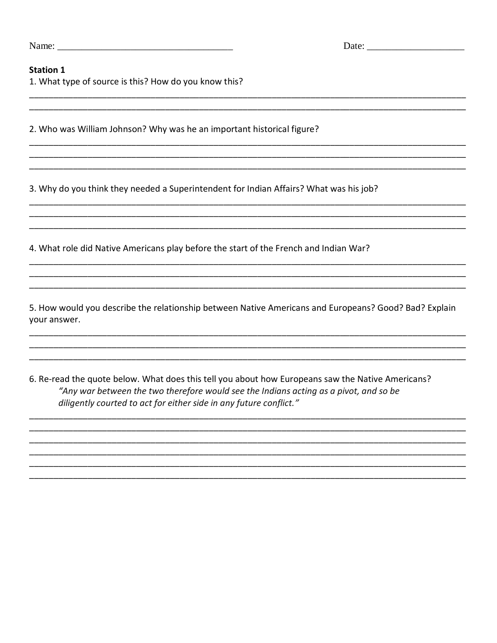| Name: |  |
|-------|--|
|-------|--|

#### **Station 1**

1. What type of source is this? How do you know this?

2. Who was William Johnson? Why was he an important historical figure?

3. Why do you think they needed a Superintendent for Indian Affairs? What was his job?

4. What role did Native Americans play before the start of the French and Indian War?

5. How would you describe the relationship between Native Americans and Europeans? Good? Bad? Explain your answer.

6. Re-read the quote below. What does this tell you about how Europeans saw the Native Americans? "Any war between the two therefore would see the Indians acting as a pivot, and so be diligently courted to act for either side in any future conflict."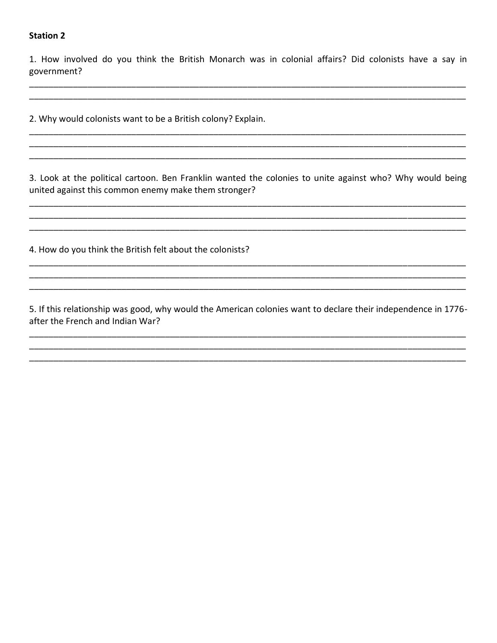1. How involved do you think the British Monarch was in colonial affairs? Did colonists have a say in government?

2. Why would colonists want to be a British colony? Explain.

3. Look at the political cartoon. Ben Franklin wanted the colonies to unite against who? Why would being united against this common enemy make them stronger?

4. How do you think the British felt about the colonists?

5. If this relationship was good, why would the American colonies want to declare their independence in 1776after the French and Indian War?